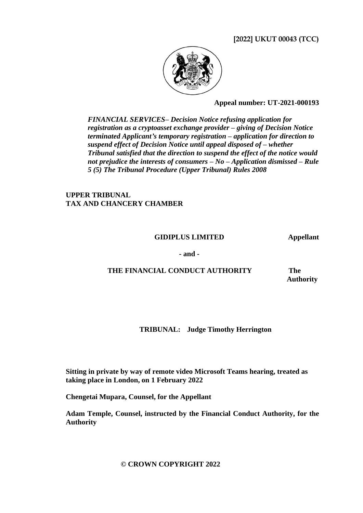**[2022] UKUT 00043 (TCC)**



**Appeal number: UT-2021-000193**

*FINANCIAL SERVICES– Decision Notice refusing application for registration as a cryptoasset exchange provider – giving of Decision Notice terminated Applicant's temporary registration – application for direction to suspend effect of Decision Notice until appeal disposed of – whether Tribunal satisfied that the direction to suspend the effect of the notice would not prejudice the interests of consumers – No – Application dismissed – Rule 5 (5) The Tribunal Procedure (Upper Tribunal) Rules 2008*

**UPPER TRIBUNAL TAX AND CHANCERY CHAMBER**

#### **GIDIPLUS LIMITED Appellant**

**- and -**

## **THE FINANCIAL CONDUCT AUTHORITY**

 **The Authority**

**TRIBUNAL: Judge Timothy Herrington**

**Sitting in private by way of remote video Microsoft Teams hearing, treated as taking place in London, on 1 February 2022**

**Chengetai Mupara, Counsel, for the Appellant**

**Adam Temple, Counsel, instructed by the Financial Conduct Authority, for the Authority**

 **© CROWN COPYRIGHT 2022**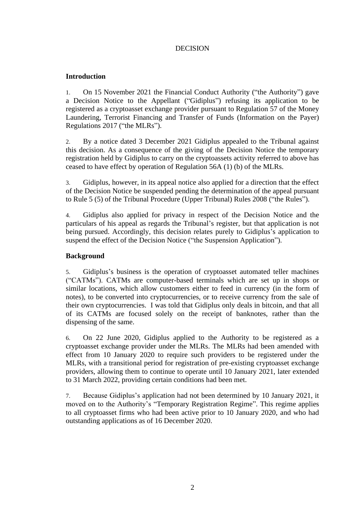#### DECISION

#### **Introduction**

1. On 15 November 2021 the Financial Conduct Authority ("the Authority") gave a Decision Notice to the Appellant ("Gidiplus") refusing its application to be registered as a cryptoasset exchange provider pursuant to Regulation 57 of the Money Laundering, Terrorist Financing and Transfer of Funds (Information on the Payer) Regulations 2017 ("the MLRs").

2. By a notice dated 3 December 2021 Gidiplus appealed to the Tribunal against this decision. As a consequence of the giving of the Decision Notice the temporary registration held by Gidiplus to carry on the cryptoassets activity referred to above has ceased to have effect by operation of Regulation 56A (1) (b) of the MLRs.

3. Gidiplus, however, in its appeal notice also applied for a direction that the effect of the Decision Notice be suspended pending the determination of the appeal pursuant to Rule 5 (5) of the Tribunal Procedure (Upper Tribunal) Rules 2008 ("the Rules").

4. Gidiplus also applied for privacy in respect of the Decision Notice and the particulars of his appeal as regards the Tribunal's register, but that application is not being pursued. Accordingly, this decision relates purely to Gidiplus's application to suspend the effect of the Decision Notice ("the Suspension Application").

#### **Background**

5. Gidiplus's business is the operation of cryptoasset automated teller machines ("CATMs"). CATMs are computer-based terminals which are set up in shops or similar locations, which allow customers either to feed in currency (in the form of notes), to be converted into cryptocurrencies, or to receive currency from the sale of their own cryptocurrencies. I was told that Gidiplus only deals in bitcoin, and that all of its CATMs are focused solely on the receipt of banknotes, rather than the dispensing of the same.

6. On 22 June 2020, Gidiplus applied to the Authority to be registered as a cryptoasset exchange provider under the MLRs. The MLRs had been amended with effect from 10 January 2020 to require such providers to be registered under the MLRs, with a transitional period for registration of pre-existing cryptoasset exchange providers, allowing them to continue to operate until 10 January 2021, later extended to 31 March 2022, providing certain conditions had been met.

7. Because Gidiplus's application had not been determined by 10 January 2021, it moved on to the Authority's "Temporary Registration Regime". This regime applies to all cryptoasset firms who had been active prior to 10 January 2020, and who had outstanding applications as of 16 December 2020.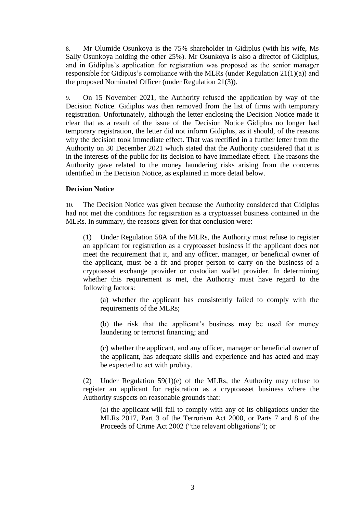8. Mr Olumide Osunkoya is the 75% shareholder in Gidiplus (with his wife, Ms Sally Osunkoya holding the other 25%). Mr Osunkoya is also a director of Gidiplus, and in Gidiplus's application for registration was proposed as the senior manager responsible for Gidiplus's compliance with the MLRs (under Regulation 21(1)(a)) and the proposed Nominated Officer (under Regulation 21(3)).

9. On 15 November 2021, the Authority refused the application by way of the Decision Notice. Gidiplus was then removed from the list of firms with temporary registration. Unfortunately, although the letter enclosing the Decision Notice made it clear that as a result of the issue of the Decision Notice Gidiplus no longer had temporary registration, the letter did not inform Gidiplus, as it should, of the reasons why the decision took immediate effect. That was rectified in a further letter from the Authority on 30 December 2021 which stated that the Authority considered that it is in the interests of the public for its decision to have immediate effect. The reasons the Authority gave related to the money laundering risks arising from the concerns identified in the Decision Notice, as explained in more detail below.

#### **Decision Notice**

10. The Decision Notice was given because the Authority considered that Gidiplus had not met the conditions for registration as a cryptoasset business contained in the MLRs. In summary, the reasons given for that conclusion were:

(1) Under Regulation 58A of the MLRs, the Authority must refuse to register an applicant for registration as a cryptoasset business if the applicant does not meet the requirement that it, and any officer, manager, or beneficial owner of the applicant, must be a fit and proper person to carry on the business of a cryptoasset exchange provider or custodian wallet provider. In determining whether this requirement is met, the Authority must have regard to the following factors:

(a) whether the applicant has consistently failed to comply with the requirements of the MLRs;

(b) the risk that the applicant's business may be used for money laundering or terrorist financing; and

(c) whether the applicant, and any officer, manager or beneficial owner of the applicant, has adequate skills and experience and has acted and may be expected to act with probity.

(2) Under Regulation 59(1)(e) of the MLRs, the Authority may refuse to register an applicant for registration as a cryptoasset business where the Authority suspects on reasonable grounds that:

(a) the applicant will fail to comply with any of its obligations under the MLRs 2017, Part 3 of the Terrorism Act 2000, or Parts 7 and 8 of the Proceeds of Crime Act 2002 ("the relevant obligations"); or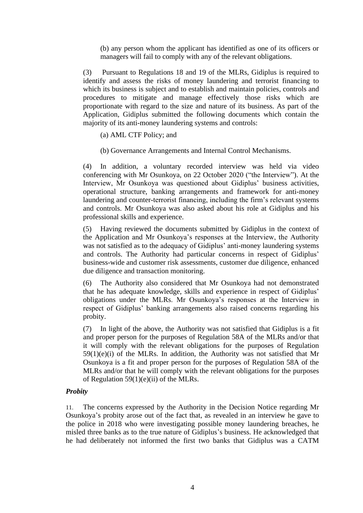(b) any person whom the applicant has identified as one of its officers or managers will fail to comply with any of the relevant obligations.

(3) Pursuant to Regulations 18 and 19 of the MLRs, Gidiplus is required to identify and assess the risks of money laundering and terrorist financing to which its business is subject and to establish and maintain policies, controls and procedures to mitigate and manage effectively those risks which are proportionate with regard to the size and nature of its business. As part of the Application, Gidiplus submitted the following documents which contain the majority of its anti-money laundering systems and controls:

(a) AML CTF Policy; and

(b) Governance Arrangements and Internal Control Mechanisms.

(4) In addition, a voluntary recorded interview was held via video conferencing with Mr Osunkoya, on 22 October 2020 ("the Interview"). At the Interview, Mr Osunkoya was questioned about Gidiplus' business activities, operational structure, banking arrangements and framework for anti-money laundering and counter-terrorist financing, including the firm's relevant systems and controls. Mr Osunkoya was also asked about his role at Gidiplus and his professional skills and experience.

(5) Having reviewed the documents submitted by Gidiplus in the context of the Application and Mr Osunkoya's responses at the Interview, the Authority was not satisfied as to the adequacy of Gidiplus' anti-money laundering systems and controls. The Authority had particular concerns in respect of Gidiplus' business-wide and customer risk assessments, customer due diligence, enhanced due diligence and transaction monitoring.

(6) The Authority also considered that Mr Osunkoya had not demonstrated that he has adequate knowledge, skills and experience in respect of Gidiplus' obligations under the MLRs. Mr Osunkoya's responses at the Interview in respect of Gidiplus' banking arrangements also raised concerns regarding his probity.

(7) In light of the above, the Authority was not satisfied that Gidiplus is a fit and proper person for the purposes of Regulation 58A of the MLRs and/or that it will comply with the relevant obligations for the purposes of Regulation  $59(1)(e)(i)$  of the MLRs. In addition, the Authority was not satisfied that Mr Osunkoya is a fit and proper person for the purposes of Regulation 58A of the MLRs and/or that he will comply with the relevant obligations for the purposes of Regulation  $59(1)(e)(ii)$  of the MLRs.

#### *Probity*

11. The concerns expressed by the Authority in the Decision Notice regarding Mr Osunkoya's probity arose out of the fact that, as revealed in an interview he gave to the police in 2018 who were investigating possible money laundering breaches, he misled three banks as to the true nature of Gidiplus's business. He acknowledged that he had deliberately not informed the first two banks that Gidiplus was a CATM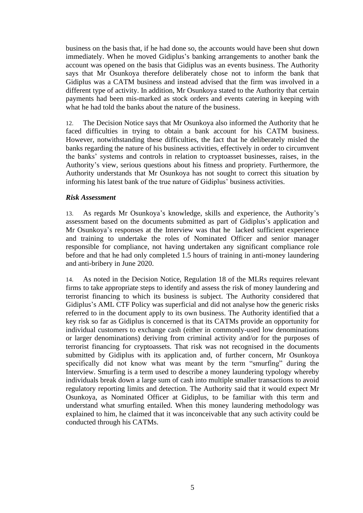business on the basis that, if he had done so, the accounts would have been shut down immediately. When he moved Gidiplus's banking arrangements to another bank the account was opened on the basis that Gidiplus was an events business. The Authority says that Mr Osunkoya therefore deliberately chose not to inform the bank that Gidiplus was a CATM business and instead advised that the firm was involved in a different type of activity. In addition, Mr Osunkoya stated to the Authority that certain payments had been mis-marked as stock orders and events catering in keeping with what he had told the banks about the nature of the business.

12. The Decision Notice says that Mr Osunkoya also informed the Authority that he faced difficulties in trying to obtain a bank account for his CATM business. However, notwithstanding these difficulties, the fact that he deliberately misled the banks regarding the nature of his business activities, effectively in order to circumvent the banks' systems and controls in relation to cryptoasset businesses, raises, in the Authority's view, serious questions about his fitness and propriety. Furthermore, the Authority understands that Mr Osunkoya has not sought to correct this situation by informing his latest bank of the true nature of Gidiplus' business activities.

#### *Risk Assessment*

13. As regards Mr Osunkoya's knowledge, skills and experience, the Authority's assessment based on the documents submitted as part of Gidiplus's application and Mr Osunkoya's responses at the Interview was that he lacked sufficient experience and training to undertake the roles of Nominated Officer and senior manager responsible for compliance, not having undertaken any significant compliance role before and that he had only completed 1.5 hours of training in anti-money laundering and anti-bribery in June 2020.

14. As noted in the Decision Notice, Regulation 18 of the MLRs requires relevant firms to take appropriate steps to identify and assess the risk of money laundering and terrorist financing to which its business is subject. The Authority considered that Gidiplus's AML CTF Policy was superficial and did not analyse how the generic risks referred to in the document apply to its own business. The Authority identified that a key risk so far as Gidiplus is concerned is that its CATMs provide an opportunity for individual customers to exchange cash (either in commonly-used low denominations or larger denominations) deriving from criminal activity and/or for the purposes of terrorist financing for cryptoassets. That risk was not recognised in the documents submitted by Gidiplus with its application and, of further concern, Mr Osunkoya specifically did not know what was meant by the term "smurfing" during the Interview. Smurfing is a term used to describe a money laundering typology whereby individuals break down a large sum of cash into multiple smaller transactions to avoid regulatory reporting limits and detection. The Authority said that it would expect Mr Osunkoya, as Nominated Officer at Gidiplus, to be familiar with this term and understand what smurfing entailed. When this money laundering methodology was explained to him, he claimed that it was inconceivable that any such activity could be conducted through his CATMs.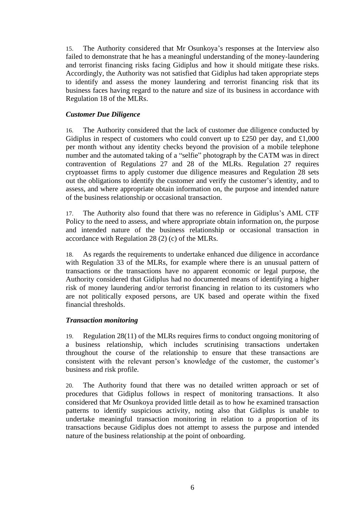15. The Authority considered that Mr Osunkoya's responses at the Interview also failed to demonstrate that he has a meaningful understanding of the money-laundering and terrorist financing risks facing Gidiplus and how it should mitigate these risks. Accordingly, the Authority was not satisfied that Gidiplus had taken appropriate steps to identify and assess the money laundering and terrorist financing risk that its business faces having regard to the nature and size of its business in accordance with Regulation 18 of the MLRs.

#### *Customer Due Diligence*

16. The Authority considered that the lack of customer due diligence conducted by Gidiplus in respect of customers who could convert up to £250 per day, and £1,000 per month without any identity checks beyond the provision of a mobile telephone number and the automated taking of a "selfie" photograph by the CATM was in direct contravention of Regulations 27 and 28 of the MLRs. Regulation 27 requires cryptoasset firms to apply customer due diligence measures and Regulation 28 sets out the obligations to identify the customer and verify the customer's identity, and to assess, and where appropriate obtain information on, the purpose and intended nature of the business relationship or occasional transaction.

17. The Authority also found that there was no reference in Gidiplus's AML CTF Policy to the need to assess, and where appropriate obtain information on, the purpose and intended nature of the business relationship or occasional transaction in accordance with Regulation 28 (2) (c) of the MLRs.

18. As regards the requirements to undertake enhanced due diligence in accordance with Regulation 33 of the MLRs, for example where there is an unusual pattern of transactions or the transactions have no apparent economic or legal purpose, the Authority considered that Gidiplus had no documented means of identifying a higher risk of money laundering and/or terrorist financing in relation to its customers who are not politically exposed persons, are UK based and operate within the fixed financial thresholds.

#### *Transaction monitoring*

19. Regulation 28(11) of the MLRs requires firms to conduct ongoing monitoring of a business relationship, which includes scrutinising transactions undertaken throughout the course of the relationship to ensure that these transactions are consistent with the relevant person's knowledge of the customer, the customer's business and risk profile.

20. The Authority found that there was no detailed written approach or set of procedures that Gidiplus follows in respect of monitoring transactions. It also considered that Mr Osunkoya provided little detail as to how he examined transaction patterns to identify suspicious activity, noting also that Gidiplus is unable to undertake meaningful transaction monitoring in relation to a proportion of its transactions because Gidiplus does not attempt to assess the purpose and intended nature of the business relationship at the point of onboarding.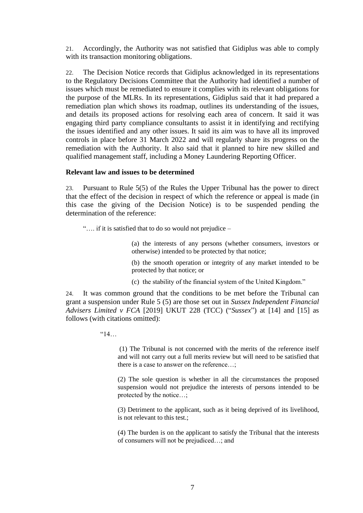21. Accordingly, the Authority was not satisfied that Gidiplus was able to comply with its transaction monitoring obligations.

22. The Decision Notice records that Gidiplus acknowledged in its representations to the Regulatory Decisions Committee that the Authority had identified a number of issues which must be remediated to ensure it complies with its relevant obligations for the purpose of the MLRs. In its representations, Gidiplus said that it had prepared a remediation plan which shows its roadmap, outlines its understanding of the issues, and details its proposed actions for resolving each area of concern. It said it was engaging third party compliance consultants to assist it in identifying and rectifying the issues identified and any other issues. It said its aim was to have all its improved controls in place before 31 March 2022 and will regularly share its progress on the remediation with the Authority. It also said that it planned to hire new skilled and qualified management staff, including a Money Laundering Reporting Officer.

#### **Relevant law and issues to be determined**

23. Pursuant to Rule 5(5) of the Rules the Upper Tribunal has the power to direct that the effect of the decision in respect of which the reference or appeal is made (in this case the giving of the Decision Notice) is to be suspended pending the determination of the reference:

"…. if it is satisfied that to do so would not prejudice –

(a) the interests of any persons (whether consumers, investors or otherwise) intended to be protected by that notice;

(b) the smooth operation or integrity of any market intended to be protected by that notice; or

(c) the stability of the financial system of the United Kingdom."

24. It was common ground that the conditions to be met before the Tribunal can grant a suspension under Rule 5 (5) are those set out in *Sussex Independent Financial Advisers Limited v FCA* [2019] UKUT 228 (TCC) ("*Sussex*") at [14] and [15] as follows (with citations omitted):

 $"14"$ 

(1) The Tribunal is not concerned with the merits of the reference itself and will not carry out a full merits review but will need to be satisfied that there is a case to answer on the reference…;

(2) The sole question is whether in all the circumstances the proposed suspension would not prejudice the interests of persons intended to be protected by the notice…;

(3) Detriment to the applicant, such as it being deprived of its livelihood, is not relevant to this test.;

(4) The burden is on the applicant to satisfy the Tribunal that the interests of consumers will not be prejudiced…; and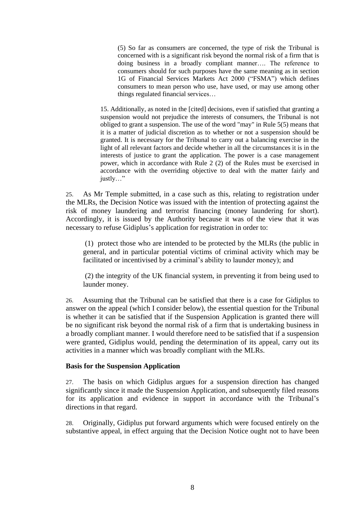(5) So far as consumers are concerned, the type of risk the Tribunal is concerned with is a significant risk beyond the normal risk of a firm that is doing business in a broadly compliant manner…. The reference to consumers should for such purposes have the same meaning as in section 1G of Financial Services Markets Act 2000 ("FSMA") which defines consumers to mean person who use, have used, or may use among other things regulated financial services…

15. Additionally, as noted in the [cited] decisions, even if satisfied that granting a suspension would not prejudice the interests of consumers, the Tribunal is not obliged to grant a suspension. The use of the word "may" in Rule 5(5) means that it is a matter of judicial discretion as to whether or not a suspension should be granted. It is necessary for the Tribunal to carry out a balancing exercise in the light of all relevant factors and decide whether in all the circumstances it is in the interests of justice to grant the application. The power is a case management power, which in accordance with Rule 2 (2) of the Rules must be exercised in accordance with the overriding objective to deal with the matter fairly and justly…"

25. As Mr Temple submitted, in a case such as this, relating to registration under the MLRs, the Decision Notice was issued with the intention of protecting against the risk of money laundering and terrorist financing (money laundering for short). Accordingly, it is issued by the Authority because it was of the view that it was necessary to refuse Gidiplus's application for registration in order to:

(1) protect those who are intended to be protected by the MLRs (the public in general, and in particular potential victims of criminal activity which may be facilitated or incentivised by a criminal's ability to launder money); and

(2) the integrity of the UK financial system, in preventing it from being used to launder money.

26. Assuming that the Tribunal can be satisfied that there is a case for Gidiplus to answer on the appeal (which I consider below), the essential question for the Tribunal is whether it can be satisfied that if the Suspension Application is granted there will be no significant risk beyond the normal risk of a firm that is undertaking business in a broadly compliant manner. I would therefore need to be satisfied that if a suspension were granted, Gidiplus would, pending the determination of its appeal, carry out its activities in a manner which was broadly compliant with the MLRs.

#### **Basis for the Suspension Application**

27. The basis on which Gidiplus argues for a suspension direction has changed significantly since it made the Suspension Application, and subsequently filed reasons for its application and evidence in support in accordance with the Tribunal's directions in that regard.

28. Originally, Gidiplus put forward arguments which were focused entirely on the substantive appeal, in effect arguing that the Decision Notice ought not to have been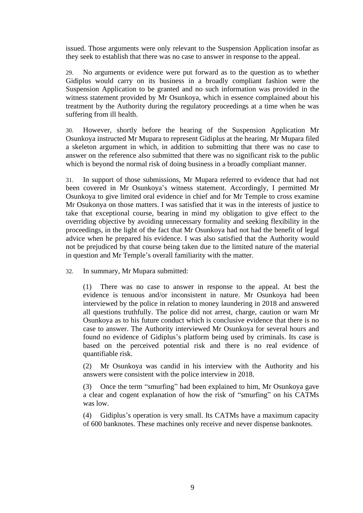issued. Those arguments were only relevant to the Suspension Application insofar as they seek to establish that there was no case to answer in response to the appeal.

29. No arguments or evidence were put forward as to the question as to whether Gidiplus would carry on its business in a broadly compliant fashion were the Suspension Application to be granted and no such information was provided in the witness statement provided by Mr Osunkoya, which in essence complained about his treatment by the Authority during the regulatory proceedings at a time when he was suffering from ill health.

30. However, shortly before the hearing of the Suspension Application Mr Osunkoya instructed Mr Mupara to represent Gidiplus at the hearing. Mr Mupara filed a skeleton argument in which, in addition to submitting that there was no case to answer on the reference also submitted that there was no significant risk to the public which is beyond the normal risk of doing business in a broadly compliant manner.

31. In support of those submissions, Mr Mupara referred to evidence that had not been covered in Mr Osunkoya's witness statement. Accordingly, I permitted Mr Osunkoya to give limited oral evidence in chief and for Mr Temple to cross examine Mr Osukonya on those matters. I was satisfied that it was in the interests of justice to take that exceptional course, bearing in mind my obligation to give effect to the overriding objective by avoiding unnecessary formality and seeking flexibility in the proceedings, in the light of the fact that Mr Osunkoya had not had the benefit of legal advice when he prepared his evidence. I was also satisfied that the Authority would not be prejudiced by that course being taken due to the limited nature of the material in question and Mr Temple's overall familiarity with the matter.

32. In summary, Mr Mupara submitted:

(1) There was no case to answer in response to the appeal. At best the evidence is tenuous and/or inconsistent in nature. Mr Osunkoya had been interviewed by the police in relation to money laundering in 2018 and answered all questions truthfully. The police did not arrest, charge, caution or warn Mr Osunkoya as to his future conduct which is conclusive evidence that there is no case to answer. The Authority interviewed Mr Osunkoya for several hours and found no evidence of Gidiplus's platform being used by criminals. Its case is based on the perceived potential risk and there is no real evidence of quantifiable risk.

(2) Mr Osunkoya was candid in his interview with the Authority and his answers were consistent with the police interview in 2018.

(3) Once the term "smurfing" had been explained to him, Mr Osunkoya gave a clear and cogent explanation of how the risk of "smurfing" on his CATMs was low.

(4) Gidiplus's operation is very small. Its CATMs have a maximum capacity of 600 banknotes. These machines only receive and never dispense banknotes.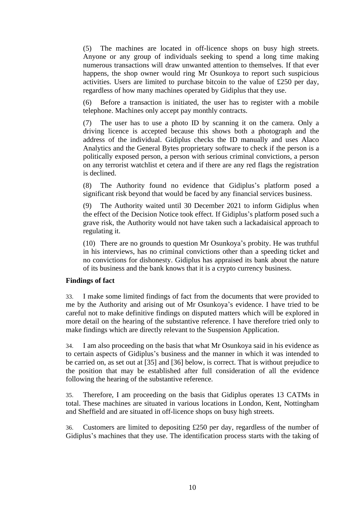(5) The machines are located in off-licence shops on busy high streets. Anyone or any group of individuals seeking to spend a long time making numerous transactions will draw unwanted attention to themselves. If that ever happens, the shop owner would ring Mr Osunkoya to report such suspicious activities. Users are limited to purchase bitcoin to the value of £250 per day, regardless of how many machines operated by Gidiplus that they use.

(6) Before a transaction is initiated, the user has to register with a mobile telephone. Machines only accept pay monthly contracts.

(7) The user has to use a photo ID by scanning it on the camera. Only a driving licence is accepted because this shows both a photograph and the address of the individual. Gidiplus checks the ID manually and uses Alaco Analytics and the General Bytes proprietary software to check if the person is a politically exposed person, a person with serious criminal convictions, a person on any terrorist watchlist et cetera and if there are any red flags the registration is declined.

(8) The Authority found no evidence that Gidiplus's platform posed a significant risk beyond that would be faced by any financial services business.

(9) The Authority waited until 30 December 2021 to inform Gidiplus when the effect of the Decision Notice took effect. If Gidiplus's platform posed such a grave risk, the Authority would not have taken such a lackadaisical approach to regulating it.

(10) There are no grounds to question Mr Osunkoya's probity. He was truthful in his interviews, has no criminal convictions other than a speeding ticket and no convictions for dishonesty. Gidiplus has appraised its bank about the nature of its business and the bank knows that it is a crypto currency business.

#### **Findings of fact**

33. I make some limited findings of fact from the documents that were provided to me by the Authority and arising out of Mr Osunkoya's evidence. I have tried to be careful not to make definitive findings on disputed matters which will be explored in more detail on the hearing of the substantive reference. I have therefore tried only to make findings which are directly relevant to the Suspension Application.

34. I am also proceeding on the basis that what Mr Osunkoya said in his evidence as to certain aspects of Gidiplus's business and the manner in which it was intended to be carried on, as set out at [35] and [36] below, is correct. That is without prejudice to the position that may be established after full consideration of all the evidence following the hearing of the substantive reference.

35. Therefore, I am proceeding on the basis that Gidiplus operates 13 CATMs in total. These machines are situated in various locations in London, Kent, Nottingham and Sheffield and are situated in off-licence shops on busy high streets.

36. Customers are limited to depositing £250 per day, regardless of the number of Gidiplus's machines that they use. The identification process starts with the taking of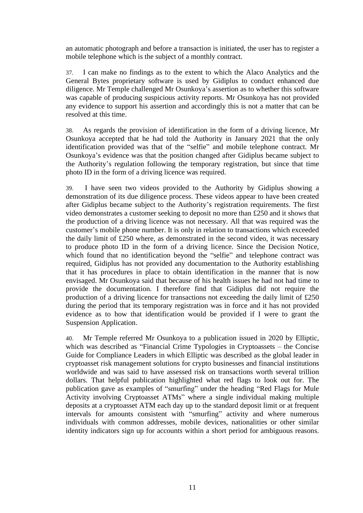an automatic photograph and before a transaction is initiated, the user has to register a mobile telephone which is the subject of a monthly contract.

37. I can make no findings as to the extent to which the Alaco Analytics and the General Bytes proprietary software is used by Gidiplus to conduct enhanced due diligence. Mr Temple challenged Mr Osunkoya's assertion as to whether this software was capable of producing suspicious activity reports. Mr Osunkoya has not provided any evidence to support his assertion and accordingly this is not a matter that can be resolved at this time.

38. As regards the provision of identification in the form of a driving licence, Mr Osunkoya accepted that he had told the Authority in January 2021 that the only identification provided was that of the "selfie" and mobile telephone contract. Mr Osunkoya's evidence was that the position changed after Gidiplus became subject to the Authority's regulation following the temporary registration, but since that time photo ID in the form of a driving licence was required.

39. I have seen two videos provided to the Authority by Gidiplus showing a demonstration of its due diligence process. These videos appear to have been created after Gidiplus became subject to the Authority's registration requirements. The first video demonstrates a customer seeking to deposit no more than £250 and it shows that the production of a driving licence was not necessary. All that was required was the customer's mobile phone number. It is only in relation to transactions which exceeded the daily limit of £250 where, as demonstrated in the second video, it was necessary to produce photo ID in the form of a driving licence. Since the Decision Notice, which found that no identification beyond the "selfie" and telephone contract was required, Gidiplus has not provided any documentation to the Authority establishing that it has procedures in place to obtain identification in the manner that is now envisaged. Mr Osunkoya said that because of his health issues he had not had time to provide the documentation. I therefore find that Gidiplus did not require the production of a driving licence for transactions not exceeding the daily limit of £250 during the period that its temporary registration was in force and it has not provided evidence as to how that identification would be provided if I were to grant the Suspension Application.

40. Mr Temple referred Mr Osunkoya to a publication issued in 2020 by Elliptic, which was described as "Financial Crime Typologies in Cryptoassets – the Concise Guide for Compliance Leaders in which Elliptic was described as the global leader in cryptoasset risk management solutions for crypto businesses and financial institutions worldwide and was said to have assessed risk on transactions worth several trillion dollars. That helpful publication highlighted what red flags to look out for. The publication gave as examples of "smurfing" under the heading "Red Flags for Mule Activity involving Cryptoasset ATMs" where a single individual making multiple deposits at a cryptoasset ATM each day up to the standard deposit limit or at frequent intervals for amounts consistent with "smurfing" activity and where numerous individuals with common addresses, mobile devices, nationalities or other similar identity indicators sign up for accounts within a short period for ambiguous reasons.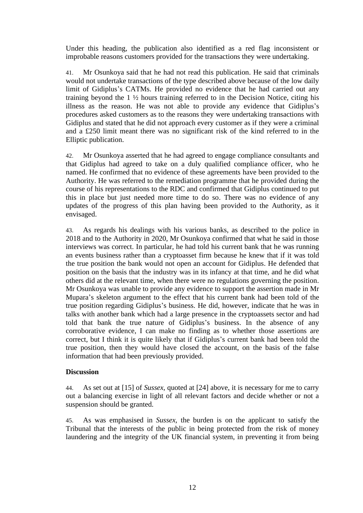Under this heading, the publication also identified as a red flag inconsistent or improbable reasons customers provided for the transactions they were undertaking.

41. Mr Osunkoya said that he had not read this publication. He said that criminals would not undertake transactions of the type described above because of the low daily limit of Gidiplus's CATMs. He provided no evidence that he had carried out any training beyond the 1 ½ hours training referred to in the Decision Notice, citing his illness as the reason. He was not able to provide any evidence that Gidiplus's procedures asked customers as to the reasons they were undertaking transactions with Gidiplus and stated that he did not approach every customer as if they were a criminal and a £250 limit meant there was no significant risk of the kind referred to in the Elliptic publication.

42. Mr Osunkoya asserted that he had agreed to engage compliance consultants and that Gidiplus had agreed to take on a duly qualified compliance officer, who he named. He confirmed that no evidence of these agreements have been provided to the Authority. He was referred to the remediation programme that he provided during the course of his representations to the RDC and confirmed that Gidiplus continued to put this in place but just needed more time to do so. There was no evidence of any updates of the progress of this plan having been provided to the Authority, as it envisaged.

43. As regards his dealings with his various banks, as described to the police in 2018 and to the Authority in 2020, Mr Osunkoya confirmed that what he said in those interviews was correct. In particular, he had told his current bank that he was running an events business rather than a cryptoasset firm because he knew that if it was told the true position the bank would not open an account for Gidiplus. He defended that position on the basis that the industry was in its infancy at that time, and he did what others did at the relevant time, when there were no regulations governing the position. Mr Osunkoya was unable to provide any evidence to support the assertion made in Mr Mupara's skeleton argument to the effect that his current bank had been told of the true position regarding Gidiplus's business. He did, however, indicate that he was in talks with another bank which had a large presence in the cryptoassets sector and had told that bank the true nature of Gidiplus's business. In the absence of any corroborative evidence, I can make no finding as to whether those assertions are correct, but I think it is quite likely that if Gidiplus's current bank had been told the true position, then they would have closed the account, on the basis of the false information that had been previously provided.

#### **Discussion**

44. As set out at [15] of *Sussex*, quoted at [24] above, it is necessary for me to carry out a balancing exercise in light of all relevant factors and decide whether or not a suspension should be granted.

45. As was emphasised in *Sussex*, the burden is on the applicant to satisfy the Tribunal that the interests of the public in being protected from the risk of money laundering and the integrity of the UK financial system, in preventing it from being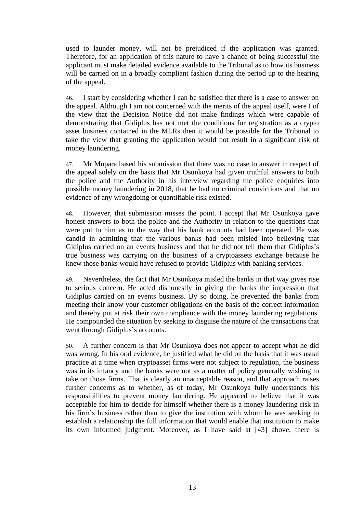used to launder money, will not be prejudiced if the application was granted. Therefore, for an application of this nature to have a chance of being successful the applicant must make detailed evidence available to the Tribunal as to how its business will be carried on in a broadly compliant fashion during the period up to the hearing of the appeal.

46. I start by considering whether I can be satisfied that there is a case to answer on the appeal. Although I am not concerned with the merits of the appeal itself, were I of the view that the Decision Notice did not make findings which were capable of demonstrating that Gidiplus has not met the conditions for registration as a crypto asset business contained in the MLRs then it would be possible for the Tribunal to take the view that granting the application would not result in a significant risk of money laundering.

47. Mr Mupara based his submission that there was no case to answer in respect of the appeal solely on the basis that Mr Osunkoya had given truthful answers to both the police and the Authority in his interview regarding the police enquiries into possible money laundering in 2018, that he had no criminal convictions and that no evidence of any wrongdoing or quantifiable risk existed.

48. However, that submission misses the point. I accept that Mr Osunkoya gave honest answers to both the police and the Authority in relation to the questions that were put to him as to the way that his bank accounts had been operated. He was candid in admitting that the various banks had been misled into believing that Gidiplus carried on an events business and that he did not tell them that Gidiplus's true business was carrying on the business of a cryptoassets exchange because he knew those banks would have refused to provide Gidiplus with banking services.

49. Nevertheless, the fact that Mr Osunkoya misled the banks in that way gives rise to serious concern. He acted dishonestly in giving the banks the impression that Gidiplus carried on an events business. By so doing, he prevented the banks from meeting their know your customer obligations on the basis of the correct information and thereby put at risk their own compliance with the money laundering regulations. He compounded the situation by seeking to disguise the nature of the transactions that went through Gidiplus's accounts.

50. A further concern is that Mr Osunkoya does not appear to accept what he did was wrong. In his oral evidence, he justified what he did on the basis that it was usual practice at a time when cryptoasset firms were not subject to regulation, the business was in its infancy and the banks were not as a matter of policy generally wishing to take on those firms. That is clearly an unacceptable reason, and that approach raises further concerns as to whether, as of today, Mr Osunkoya fully understands his responsibilities to prevent money laundering. He appeared to believe that it was acceptable for him to decide for himself whether there is a money laundering risk in his firm's business rather than to give the institution with whom he was seeking to establish a relationship the full information that would enable that institution to make its own informed judgment. Moreover, as I have said at [43] above, there is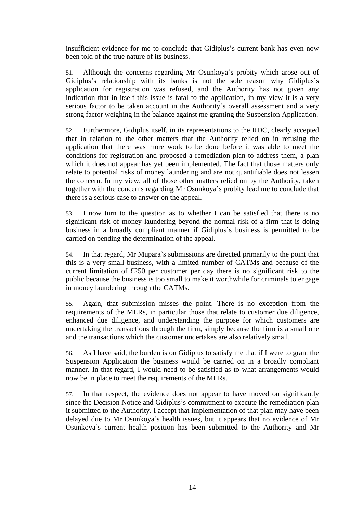insufficient evidence for me to conclude that Gidiplus's current bank has even now been told of the true nature of its business.

51. Although the concerns regarding Mr Osunkoya's probity which arose out of Gidiplus's relationship with its banks is not the sole reason why Gidiplus's application for registration was refused, and the Authority has not given any indication that in itself this issue is fatal to the application, in my view it is a very serious factor to be taken account in the Authority's overall assessment and a very strong factor weighing in the balance against me granting the Suspension Application.

52. Furthermore, Gidiplus itself, in its representations to the RDC, clearly accepted that in relation to the other matters that the Authority relied on in refusing the application that there was more work to be done before it was able to meet the conditions for registration and proposed a remediation plan to address them, a plan which it does not appear has yet been implemented. The fact that those matters only relate to potential risks of money laundering and are not quantifiable does not lessen the concern. In my view, all of those other matters relied on by the Authority, taken together with the concerns regarding Mr Osunkoya's probity lead me to conclude that there is a serious case to answer on the appeal.

53. I now turn to the question as to whether I can be satisfied that there is no significant risk of money laundering beyond the normal risk of a firm that is doing business in a broadly compliant manner if Gidiplus's business is permitted to be carried on pending the determination of the appeal.

54. In that regard, Mr Mupara's submissions are directed primarily to the point that this is a very small business, with a limited number of CATMs and because of the current limitation of £250 per customer per day there is no significant risk to the public because the business is too small to make it worthwhile for criminals to engage in money laundering through the CATMs.

55. Again, that submission misses the point. There is no exception from the requirements of the MLRs, in particular those that relate to customer due diligence, enhanced due diligence, and understanding the purpose for which customers are undertaking the transactions through the firm, simply because the firm is a small one and the transactions which the customer undertakes are also relatively small.

56. As I have said, the burden is on Gidiplus to satisfy me that if I were to grant the Suspension Application the business would be carried on in a broadly compliant manner. In that regard, I would need to be satisfied as to what arrangements would now be in place to meet the requirements of the MLRs.

57. In that respect, the evidence does not appear to have moved on significantly since the Decision Notice and Gidiplus's commitment to execute the remediation plan it submitted to the Authority. I accept that implementation of that plan may have been delayed due to Mr Osunkoya's health issues, but it appears that no evidence of Mr Osunkoya's current health position has been submitted to the Authority and Mr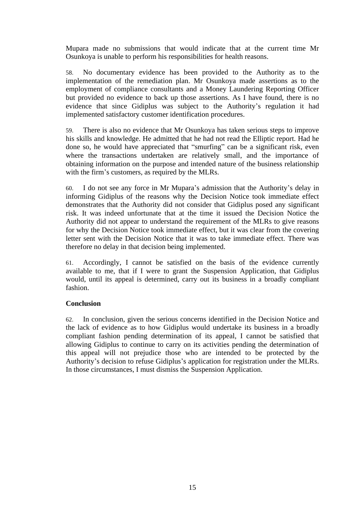Mupara made no submissions that would indicate that at the current time Mr Osunkoya is unable to perform his responsibilities for health reasons.

58. No documentary evidence has been provided to the Authority as to the implementation of the remediation plan. Mr Osunkoya made assertions as to the employment of compliance consultants and a Money Laundering Reporting Officer but provided no evidence to back up those assertions. As I have found, there is no evidence that since Gidiplus was subject to the Authority's regulation it had implemented satisfactory customer identification procedures.

59. There is also no evidence that Mr Osunkoya has taken serious steps to improve his skills and knowledge. He admitted that he had not read the Elliptic report. Had he done so, he would have appreciated that "smurfing" can be a significant risk, even where the transactions undertaken are relatively small, and the importance of obtaining information on the purpose and intended nature of the business relationship with the firm's customers, as required by the MLRs.

60. I do not see any force in Mr Mupara's admission that the Authority's delay in informing Gidiplus of the reasons why the Decision Notice took immediate effect demonstrates that the Authority did not consider that Gidiplus posed any significant risk. It was indeed unfortunate that at the time it issued the Decision Notice the Authority did not appear to understand the requirement of the MLRs to give reasons for why the Decision Notice took immediate effect, but it was clear from the covering letter sent with the Decision Notice that it was to take immediate effect. There was therefore no delay in that decision being implemented.

61. Accordingly, I cannot be satisfied on the basis of the evidence currently available to me, that if I were to grant the Suspension Application, that Gidiplus would, until its appeal is determined, carry out its business in a broadly compliant fashion.

#### **Conclusion**

62. In conclusion, given the serious concerns identified in the Decision Notice and the lack of evidence as to how Gidiplus would undertake its business in a broadly compliant fashion pending determination of its appeal, I cannot be satisfied that allowing Gidiplus to continue to carry on its activities pending the determination of this appeal will not prejudice those who are intended to be protected by the Authority's decision to refuse Gidiplus's application for registration under the MLRs. In those circumstances, I must dismiss the Suspension Application.